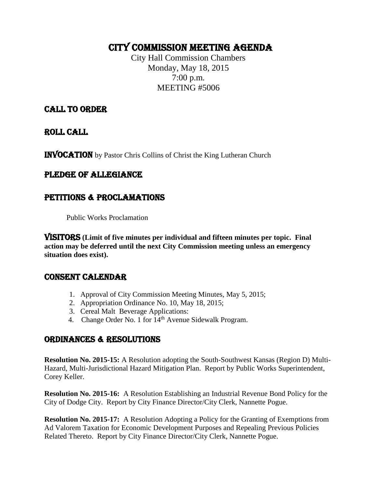# CITY COMMISSION Meeting AGENDA

City Hall Commission Chambers Monday, May 18, 2015 7:00 p.m. MEETING #5006

# CALL TO ORDER

ROLL CALL

INVOCATION by Pastor Chris Collins of Christ the King Lutheran Church

# PLEDGE OF ALLEGIANCE

# PETITIONS & PROCLAMATIONS

Public Works Proclamation

VISITORS **(Limit of five minutes per individual and fifteen minutes per topic. Final action may be deferred until the next City Commission meeting unless an emergency situation does exist).**

## CONSENT CALENDAR

- 1. Approval of City Commission Meeting Minutes, May 5, 2015;
- 2. Appropriation Ordinance No. 10, May 18, 2015;
- 3. Cereal Malt Beverage Applications:
- 4. Change Order No. 1 for 14th Avenue Sidewalk Program.

# ORDINANCES & RESOLUTIONS

**Resolution No. 2015-15:** A Resolution adopting the South-Southwest Kansas (Region D) Multi-Hazard, Multi-Jurisdictional Hazard Mitigation Plan. Report by Public Works Superintendent, Corey Keller.

**Resolution No. 2015-16:** A Resolution Establishing an Industrial Revenue Bond Policy for the City of Dodge City. Report by City Finance Director/City Clerk, Nannette Pogue.

**Resolution No. 2015-17:** A Resolution Adopting a Policy for the Granting of Exemptions from Ad Valorem Taxation for Economic Development Purposes and Repealing Previous Policies Related Thereto. Report by City Finance Director/City Clerk, Nannette Pogue.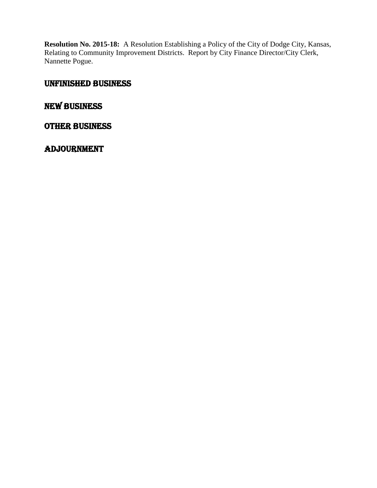**Resolution No. 2015-18:** A Resolution Establishing a Policy of the City of Dodge City, Kansas, Relating to Community Improvement Districts. Report by City Finance Director/City Clerk, Nannette Pogue.

## UNFINISHED BUSINESS

# New Business

### OTHER BUSINESS

## **ADJOURNMENT**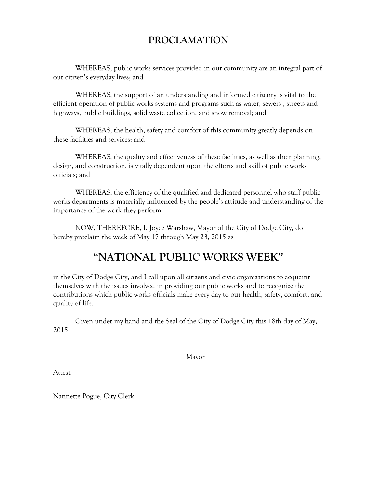# **PROCLAMATION**

WHEREAS, public works services provided in our community are an integral part of our citizen's everyday lives; and

WHEREAS, the support of an understanding and informed citizenry is vital to the efficient operation of public works systems and programs such as water, sewers , streets and highways, public buildings, solid waste collection, and snow removal; and

WHEREAS, the health, safety and comfort of this community greatly depends on these facilities and services; and

WHEREAS, the quality and effectiveness of these facilities, as well as their planning, design, and construction, is vitally dependent upon the efforts and skill of public works officials; and

WHEREAS, the efficiency of the qualified and dedicated personnel who staff public works departments is materially influenced by the people's attitude and understanding of the importance of the work they perform.

NOW, THEREFORE, I, Joyce Warshaw, Mayor of the City of Dodge City, do hereby proclaim the week of May 17 through May 23, 2015 as

# **"NATIONAL PUBLIC WORKS WEEK"**

in the City of Dodge City, and I call upon all citizens and civic organizations to acquaint themselves with the issues involved in providing our public works and to recognize the contributions which public works officials make every day to our health, safety, comfort, and quality of life.

Given under my hand and the Seal of the City of Dodge City this 18th day of May, 2015.

Mayor

Attest

 $\overline{a}$ Nannette Pogue, City Clerk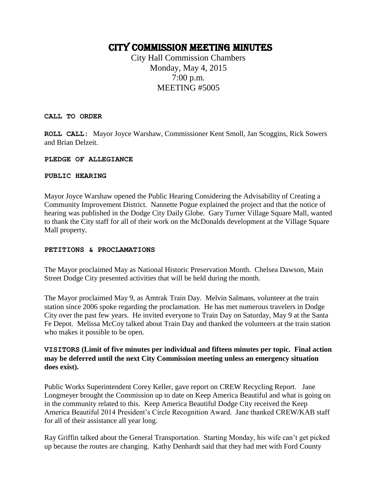# CITY COMMISSION Meeting MINUTES

City Hall Commission Chambers Monday, May 4, 2015 7:00 p.m. MEETING #5005

**CALL TO ORDER**

**ROLL CALL:** Mayor Joyce Warshaw, Commissioner Kent Smoll, Jan Scoggins, Rick Sowers and Brian Delzeit.

#### **PLEDGE OF ALLEGIANCE**

#### **PUBLIC HEARING**

Mayor Joyce Warshaw opened the Public Hearing Considering the Advisability of Creating a Community Improvement District. Nannette Pogue explained the project and that the notice of hearing was published in the Dodge City Daily Globe. Gary Turner Village Square Mall, wanted to thank the City staff for all of their work on the McDonalds development at the Village Square Mall property.

#### **PETITIONS & PROCLAMATIONS**

The Mayor proclaimed May as National Historic Preservation Month. Chelsea Dawson, Main Street Dodge City presented activities that will be held during the month.

The Mayor proclaimed May 9, as Amtrak Train Day. Melvin Salmans, volunteer at the train station since 2006 spoke regarding the proclamation. He has met numerous travelers in Dodge City over the past few years. He invited everyone to Train Day on Saturday, May 9 at the Santa Fe Depot. Melissa McCoy talked about Train Day and thanked the volunteers at the train station who makes it possible to be open.

#### **VISITORS (Limit of five minutes per individual and fifteen minutes per topic. Final action may be deferred until the next City Commission meeting unless an emergency situation does exist).**

Public Works Superintendent Corey Keller, gave report on CREW Recycling Report. Jane Longmeyer brought the Commission up to date on Keep America Beautiful and what is going on in the community related to this. Keep America Beautiful Dodge City received the Keep America Beautiful 2014 President's Circle Recognition Award. Jane thanked CREW/KAB staff for all of their assistance all year long.

Ray Griffin talked about the General Transportation. Starting Monday, his wife can't get picked up because the routes are changing. Kathy Denhardt said that they had met with Ford County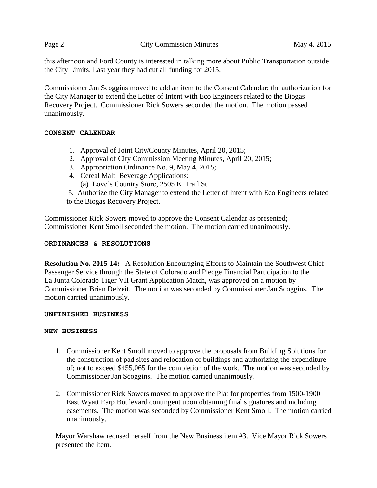this afternoon and Ford County is interested in talking more about Public Transportation outside the City Limits. Last year they had cut all funding for 2015.

Commissioner Jan Scoggins moved to add an item to the Consent Calendar; the authorization for the City Manager to extend the Letter of Intent with Eco Engineers related to the Biogas Recovery Project. Commissioner Rick Sowers seconded the motion. The motion passed unanimously.

#### **CONSENT CALENDAR**

- 1. Approval of Joint City/County Minutes, April 20, 2015;
- 2. Approval of City Commission Meeting Minutes, April 20, 2015;
- 3. Appropriation Ordinance No. 9, May 4, 2015;
- 4. Cereal Malt Beverage Applications: (a) Love's Country Store, 2505 E. Trail St.
- 5. Authorize the City Manager to extend the Letter of Intent with Eco Engineers related to the Biogas Recovery Project.

Commissioner Rick Sowers moved to approve the Consent Calendar as presented; Commissioner Kent Smoll seconded the motion. The motion carried unanimously.

#### **ORDINANCES & RESOLUTIONS**

**Resolution No. 2015-14:** A Resolution Encouraging Efforts to Maintain the Southwest Chief Passenger Service through the State of Colorado and Pledge Financial Participation to the La Junta Colorado Tiger VII Grant Application Match, was approved on a motion by Commissioner Brian Delzeit. The motion was seconded by Commissioner Jan Scoggins. The motion carried unanimously.

#### **UNFINISHED BUSINESS**

#### **NEW BUSINESS**

- 1. Commissioner Kent Smoll moved to approve the proposals from Building Solutions for the construction of pad sites and relocation of buildings and authorizing the expenditure of; not to exceed \$455,065 for the completion of the work. The motion was seconded by Commissioner Jan Scoggins. The motion carried unanimously.
- 2. Commissioner Rick Sowers moved to approve the Plat for properties from 1500-1900 East Wyatt Earp Boulevard contingent upon obtaining final signatures and including easements. The motion was seconded by Commissioner Kent Smoll. The motion carried unanimously.

Mayor Warshaw recused herself from the New Business item #3. Vice Mayor Rick Sowers presented the item.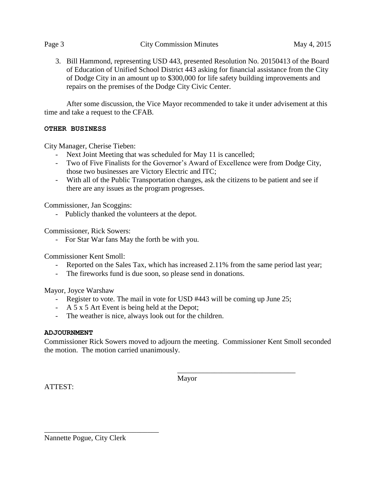3. Bill Hammond, representing USD 443, presented Resolution No. 20150413 of the Board of Education of Unified School District 443 asking for financial assistance from the City of Dodge City in an amount up to \$300,000 for life safety building improvements and repairs on the premises of the Dodge City Civic Center.

After some discussion, the Vice Mayor recommended to take it under advisement at this time and take a request to the CFAB.

#### **OTHER BUSINESS**

City Manager, Cherise Tieben:

- Next Joint Meeting that was scheduled for May 11 is cancelled;
- Two of Five Finalists for the Governor's Award of Excellence were from Dodge City, those two businesses are Victory Electric and ITC;
- With all of the Public Transportation changes, ask the citizens to be patient and see if there are any issues as the program progresses.

Commissioner, Jan Scoggins:

- Publicly thanked the volunteers at the depot.

Commissioner, Rick Sowers:

- For Star War fans May the forth be with you.

Commissioner Kent Smoll:

- Reported on the Sales Tax, which has increased 2.11% from the same period last year;
- The fireworks fund is due soon, so please send in donations.

Mayor, Joyce Warshaw

- Register to vote. The mail in vote for USD #443 will be coming up June 25;
- A 5 x 5 Art Event is being held at the Depot;
- The weather is nice, always look out for the children.

#### **ADJOURNMENT**

Commissioner Rick Sowers moved to adjourn the meeting. Commissioner Kent Smoll seconded the motion. The motion carried unanimously.

Mayor

\_\_\_\_\_\_\_\_\_\_\_\_\_\_\_\_\_\_\_\_\_\_\_\_\_\_\_\_\_\_\_\_

ATTEST:

Nannette Pogue, City Clerk

\_\_\_\_\_\_\_\_\_\_\_\_\_\_\_\_\_\_\_\_\_\_\_\_\_\_\_\_\_\_\_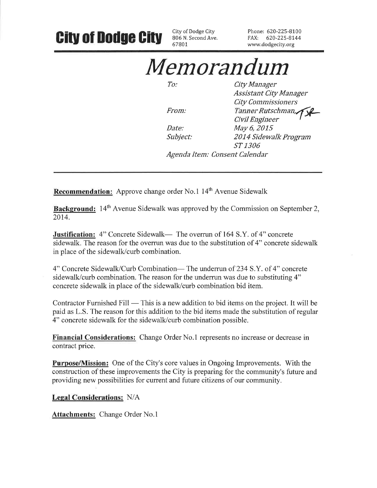#### City of Dodge City Phone: 620-225-8100 **City of Dodge City** 806 N. Second Ave. FAX: 620-225-8144 67801 www.dodgecity.org Memorandum  $To:$ City Manager **Assistant City Manager City Commissioners**

Date: Subject:

From:

Tanner Rutschman, Civil Engineer May 6, 2015 2014 Sidewalk Program ST 1306

Agenda Item: Consent Calendar

**Recommendation:** Approve change order No.1 14<sup>th</sup> Avenue Sidewalk

**Background:** 14<sup>th</sup> Avenue Sidewalk was approved by the Commission on September 2, 2014.

**Justification:** 4" Concrete Sidewalk— The overrun of 164 S.Y. of 4" concrete sidewalk. The reason for the overrun was due to the substitution of 4" concrete sidewalk in place of the sidewalk/curb combination.

4" Concrete Sidewalk/Curb Combination-The underrun of 234 S.Y. of 4" concrete sidewalk/curb combination. The reason for the underrun was due to substituting 4" concrete sidewalk in place of the sidewalk/curb combination bid item.

Contractor Furnished Fill — This is a new addition to bid items on the project. It will be paid as L.S. The reason for this addition to the bid items made the substitution of regular 4" concrete sidewalk for the sidewalk/curb combination possible.

**Financial Considerations:** Change Order No.1 represents no increase or decrease in contract price.

**Purpose/Mission:** One of the City's core values in Ongoing Improvements. With the construction of these improvements the City is preparing for the community's future and providing new possibilities for current and future citizens of our community.

**Legal Considerations: N/A** 

**Attachments: Change Order No.1**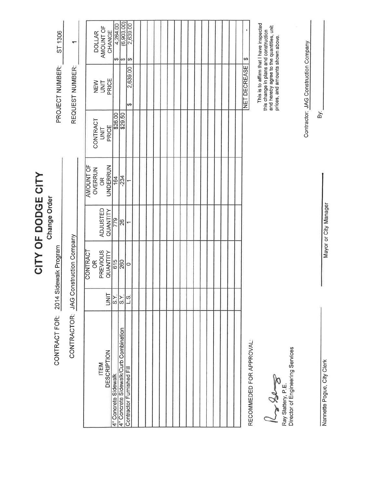|                                                                                                                          |                           |                                                            | CITY OF DODGE CITY          |                                                     |                                  |                                                                                                                                                                                                                 |                                                        |
|--------------------------------------------------------------------------------------------------------------------------|---------------------------|------------------------------------------------------------|-----------------------------|-----------------------------------------------------|----------------------------------|-----------------------------------------------------------------------------------------------------------------------------------------------------------------------------------------------------------------|--------------------------------------------------------|
| CONTRACT FOR: 2014 Sidewalk Program                                                                                      |                           |                                                            | Change Order                |                                                     |                                  | PROJECT NUMBER:                                                                                                                                                                                                 | ST 1306                                                |
| CONTRACTOR: JAG Construction Company                                                                                     |                           |                                                            |                             |                                                     |                                  | REQUEST NUMBER:                                                                                                                                                                                                 | $\overline{\phantom{0}}$                               |
| <b>DESCRIPTION</b><br>ITEM                                                                                               | <b>SINT</b>               | CONTRACT<br>PREVIOUS<br>QUANTITY<br>$\frac{\alpha}{\beta}$ | <b>ADJUSTED</b><br>QUANTITY | <b>AMOUNT OF</b><br>UNDERRUN<br>OVERRUN<br>$\infty$ | CONTRACT<br>PRICE<br><b>UNIT</b> | PRICE<br>NEW<br><b>TINIT</b>                                                                                                                                                                                    | AMOUNT OF<br>CHANGE<br><b>DOLLAR</b>                   |
| 4" Concrete Sidewalk/Curb Combination<br>4" Concrete Sidewalk                                                            | $rac{X}{\frac{S}{S}}$     | 615<br>260                                                 | 779<br>26                   | 164<br>$-234$                                       | \$26.00<br>\$29.50               |                                                                                                                                                                                                                 | (6, 903, 00)<br>4,264.00<br>$\omega$ $\omega$ $\omega$ |
| RECOMMEDED FOR APPROVAL:<br>Director of Engineering Services<br>Contractor Furnished Fill<br>Price<br>Ray Slattery, P.E. | $\overline{\frac{8}{15}}$ | $\circ$                                                    | ۳                           |                                                     |                                  | This is to affirm that I have inspected<br>and hereby agree to the quantities, unit<br>this change in plans and construction<br>prices, and amounts shown above.<br><b>NET DECREASE</b><br>2,639.00<br>$\theta$ | 2,639.00<br>မာ                                         |
|                                                                                                                          |                           |                                                            |                             |                                                     |                                  | Contractor: JAG Construction Company                                                                                                                                                                            |                                                        |
| Ī<br>ä<br>LT THE<br>j                                                                                                    |                           |                                                            |                             |                                                     | ă                                |                                                                                                                                                                                                                 |                                                        |

Nannette Pogue, City Clerk

Mayor or City Manager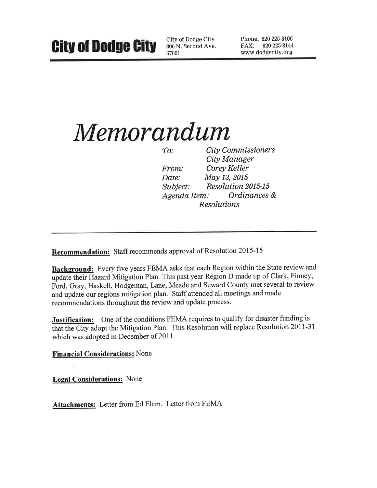City of Dodge City 806 N. Second Ave. 67801

Phone: 620-225-8100 FAX: 620-225-8144 www.dodgecity.org

# Memorandum

**City Commissioners**  $To:$ City Manager Corey Keller From: May 13, 2015 Date: **Resolution 2015-15** Subject: Ordinances & Agenda Item: **Resolutions** 

**Recommendation:** Staff recommends approval of Resolution 2015-15

Background: Every five years FEMA asks that each Region within the State review and update their Hazard Mitigation Plan. This past year Region D made up of Clark, Finney, Ford, Gray, Haskell, Hodgeman, Lane, Meade and Seward County met several to review and update our regions mitigation plan. Staff attended all meetings and made recommendations throughout the review and update process.

**Justification:** One of the conditions FEMA requires to qualify for disaster funding is that the City adopt the Mitigation Plan. This Resolution will replace Resolution 2011-31 which was adopted in December of 2011.

**Financial Considerations: None** 

**Legal Considerations:** None

Attachments: Letter from Ed Elam. Letter from FEMA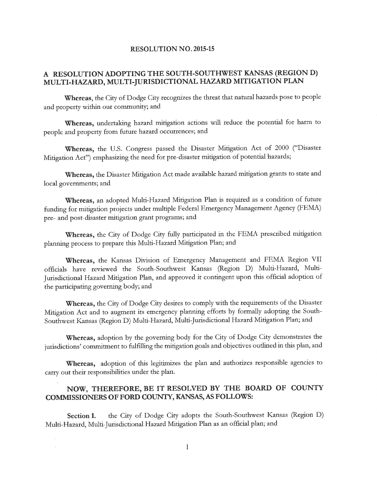#### **RESOLUTION NO. 2015-15**

#### A RESOLUTION ADOPTING THE SOUTH-SOUTHWEST KANSAS (REGION D) MULTI-HAZARD, MULTI-JURISDICTIONAL HAZARD MITIGATION PLAN

Whereas, the City of Dodge City recognizes the threat that natural hazards pose to people and property within our community; and

Whereas, undertaking hazard mitigation actions will reduce the potential for harm to people and property from future hazard occurrences; and

Whereas, the U.S. Congress passed the Disaster Mitigation Act of 2000 ("Disaster Mitigation Act") emphasizing the need for pre-disaster mitigation of potential hazards;

Whereas, the Disaster Mitigation Act made available hazard mitigation grants to state and local governments; and

Whereas, an adopted Multi-Hazard Mitigation Plan is required as a condition of future funding for mitigation projects under multiple Federal Emergency Management Agency (FEMA) pre- and post-disaster mitigation grant programs; and

Whereas, the City of Dodge City fully participated in the FEMA prescribed mitigation planning process to prepare this Multi-Hazard Mitigation Plan; and

Whereas, the Kansas Division of Emergency Management and FEMA Region VII officials have reviewed the South-Southwest Kansas (Region D) Multi-Hazard, Multi-Jurisdictional Hazard Mitigation Plan, and approved it contingent upon this official adoption of the participating governing body; and

Whereas, the City of Dodge City desires to comply with the requirements of the Disaster Mitigation Act and to augment its emergency planning efforts by formally adopting the South-Southwest Kansas (Region D) Multi-Hazard, Multi-Jurisdictional Hazard Mitigation Plan; and

Whereas, adoption by the governing body for the City of Dodge City demonstrates the jurisdictions' commitment to fulfilling the mitigation goals and objectives outlined in this plan, and

Whereas, adoption of this legitimizes the plan and authorizes responsible agencies to carry out their responsibilities under the plan.

#### NOW, THEREFORE, BE IT RESOLVED BY THE BOARD OF COUNTY COMMISSIONERS OF FORD COUNTY, KANSAS, AS FOLLOWS:

the City of Dodge City adopts the South-Southwest Kansas (Region D) Section 1. Multi-Hazard, Multi-Jurisdictional Hazard Mitigation Plan as an official plan; and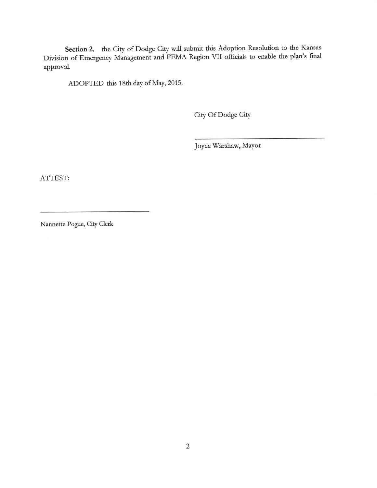Section 2. the City of Dodge City will submit this Adoption Resolution to the Kansas Division of Emergency Management and FEMA Region VII officials to enable the plan's final approval.

ADOPTED this 18th day of May, 2015.

City Of Dodge City

Joyce Warshaw, Mayor

ATTEST:

Nannette Pogue, City Clerk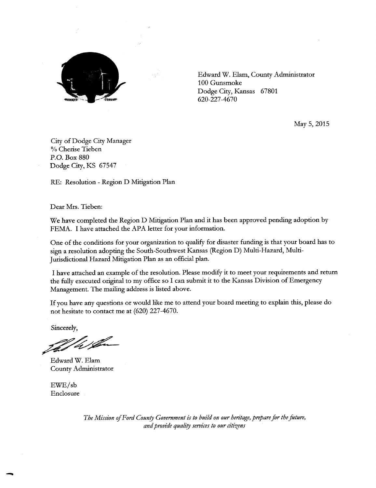

a pfa

Edward W. Elam, County Administrator 100 Gunsmoke Dodge City, Kansas 67801 620-227-4670

May 5, 2015

City of Dodge City Manager % Cherise Tieben P.O. Box 880 Dodge City, KS 67547

RE: Resolution - Region D Mitigation Plan

Dear Mrs. Tieben:

We have completed the Region D Mitigation Plan and it has been approved pending adoption by FEMA. I have attached the APA letter for your information.

One of the conditions for your organization to qualify for disaster funding is that your board has to sign a resolution adopting the South-Southwest Kansas (Region D) Multi-Hazard, Multi-Jurisdictional Hazard Mitigation Plan as an official plan.

I have attached an example of the resolution. Please modify it to meet your requirements and return the fully executed original to my office so I can submit it to the Kansas Division of Emergency Management. The mailing address is listed above.

If you have any questions or would like me to attend your board meeting to explain this, please do not hesitate to contact me at  $(620)$  227-4670.

Sincerely,

That his for

Edward W. Elam County Administrator

 $EWE/sb$ Enclosure

> The Mission of Ford County Government is to build on our heritage, prepare for the future, and provide quality services to our citizens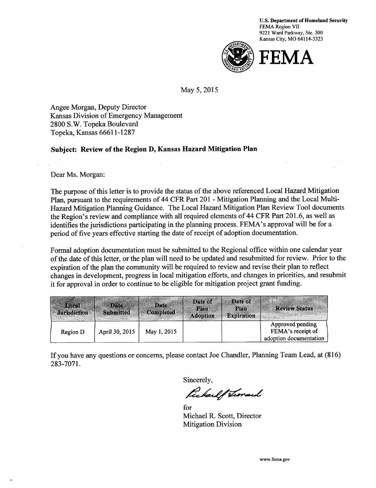

May 5, 2015

Angee Morgan, Deputy Director Kansas Division of Emergency Management 2800 S.W. Topeka Boulevard Topeka, Kansas 66611-1287

#### Subject: Review of the Region D, Kansas Hazard Mitigation Plan

Dear Ms. Morgan:

The purpose of this letter is to provide the status of the above referenced Local Hazard Mitigation Plan, pursuant to the requirements of 44 CFR Part 201 - Mitigation Planning and the Local Multi-Hazard Mitigation Planning Guidance. The Local Hazard Mitigation Plan Review Tool documents the Region's review and compliance with all required elements of 44 CFR Part 201.6, as well as identifies the jurisdictions participating in the planning process. FEMA's approval will be for a period of five years effective starting the date of receipt of adoption documentation.

Formal adoption documentation must be submitted to the Regional office within one calendar year of the date of this letter, or the plan will need to be updated and resubmitted for review. Prior to the expiration of the plan the community will be required to review and revise their plan to reflect changes in development, progress in local mitigation efforts, and changes in priorities, and resubmit it for approval in order to continue to be eligible for mitigation project grant funding.

| <b>Fores!</b><br><b>Jurisdiction</b> | <b>Date</b><br><b>Submitted</b> | Date<br><b>Completed</b> | Date of<br>Plan<br><b>Adoption</b> | Date of<br>Plan<br><b>Expiration</b> | <b>Review Status</b>                                            |
|--------------------------------------|---------------------------------|--------------------------|------------------------------------|--------------------------------------|-----------------------------------------------------------------|
| Region D                             | April 30, 2015                  | May 1, 2015              |                                    |                                      | Approved pending<br>FEMA's receipt of<br>adoption documentation |

If you have any questions or concerns, please contact Joe Chandler, Planning Team Lead, at (816) 283-7071.

Sincerely,

fickard of Thomas

for Michael R. Scott, Director **Mitigation Division**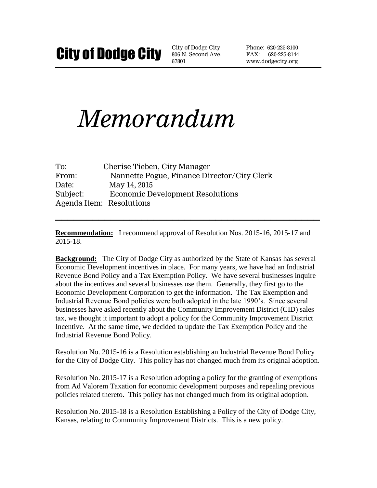806 N. Second Ave. 67801

Phone: 620-225-8100 FAX: 620-225-8144 www.dodgecity.org

# *Memorandum*

| To:      | Cherise Tieben, City Manager                |
|----------|---------------------------------------------|
| From:    | Nannette Pogue, Finance Director/City Clerk |
| Date:    | May 14, 2015                                |
| Subject: | <b>Economic Development Resolutions</b>     |
|          | Agenda Item: Resolutions                    |

**Recommendation:** I recommend approval of Resolution Nos. 2015-16, 2015-17 and 2015-18.

**\_\_\_\_\_\_\_\_\_\_\_\_\_\_\_\_\_\_\_\_\_\_\_\_\_\_\_\_\_\_\_\_\_\_\_\_\_\_\_\_\_\_\_**

**Background:** The City of Dodge City as authorized by the State of Kansas has several Economic Development incentives in place. For many years, we have had an Industrial Revenue Bond Policy and a Tax Exemption Policy. We have several businesses inquire about the incentives and several businesses use them. Generally, they first go to the Economic Development Corporation to get the information. The Tax Exemption and Industrial Revenue Bond policies were both adopted in the late 1990's. Since several businesses have asked recently about the Community Improvement District (CID) sales tax, we thought it important to adopt a policy for the Community Improvement District Incentive. At the same time, we decided to update the Tax Exemption Policy and the Industrial Revenue Bond Policy.

Resolution No. 2015-16 is a Resolution establishing an Industrial Revenue Bond Policy for the City of Dodge City. This policy has not changed much from its original adoption.

Resolution No. 2015-17 is a Resolution adopting a policy for the granting of exemptions from Ad Valorem Taxation for economic development purposes and repealing previous policies related thereto. This policy has not changed much from its original adoption.

Resolution No. 2015-18 is a Resolution Establishing a Policy of the City of Dodge City, Kansas, relating to Community Improvement Districts. This is a new policy.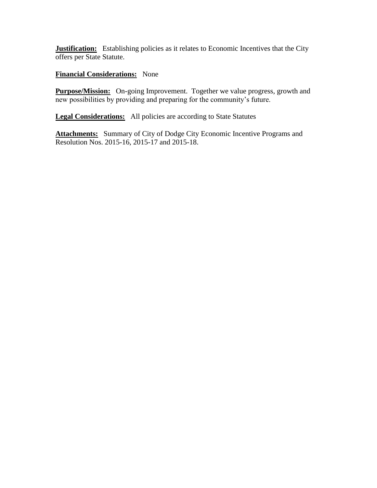**Justification:** Establishing policies as it relates to Economic Incentives that the City offers per State Statute.

#### **Financial Considerations:** None

**Purpose/Mission:** On-going Improvement. Together we value progress, growth and new possibilities by providing and preparing for the community's future.

**Legal Considerations:** All policies are according to State Statutes

Attachments: Summary of City of Dodge City Economic Incentive Programs and Resolution Nos. 2015-16, 2015-17 and 2015-18.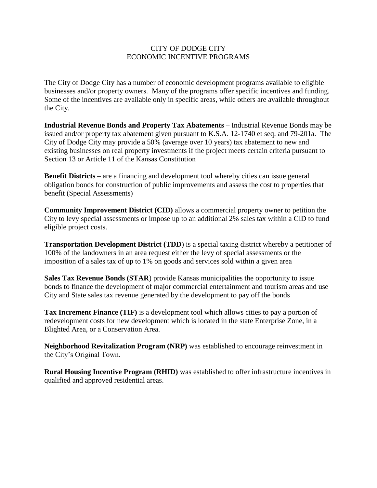#### CITY OF DODGE CITY ECONOMIC INCENTIVE PROGRAMS

The City of Dodge City has a number of economic development programs available to eligible businesses and/or property owners. Many of the programs offer specific incentives and funding. Some of the incentives are available only in specific areas, while others are available throughout the City.

**Industrial Revenue Bonds and Property Tax Abatements** – Industrial Revenue Bonds may be issued and/or property tax abatement given pursuant to K.S.A. 12-1740 et seq. and 79-201a. The City of Dodge City may provide a 50% (average over 10 years) tax abatement to new and existing businesses on real property investments if the project meets certain criteria pursuant to Section 13 or Article 11 of the Kansas Constitution

**Benefit Districts** – are a financing and development tool whereby cities can issue general obligation bonds for construction of public improvements and assess the cost to properties that benefit (Special Assessments)

**Community Improvement District (CID)** allows a commercial property owner to petition the City to levy special assessments or impose up to an additional 2% sales tax within a CID to fund eligible project costs.

**Transportation Development District (TDD**) is a special taxing district whereby a petitioner of 100% of the landowners in an area request either the levy of special assessments or the imposition of a sales tax of up to 1% on goods and services sold within a given area

**Sales Tax Revenue Bonds (STAR**) provide Kansas municipalities the opportunity to issue bonds to finance the development of major commercial entertainment and tourism areas and use City and State sales tax revenue generated by the development to pay off the bonds

**Tax Increment Finance (TIF)** is a development tool which allows cities to pay a portion of redevelopment costs for new development which is located in the state Enterprise Zone, in a Blighted Area, or a Conservation Area.

**Neighborhood Revitalization Program (NRP)** was established to encourage reinvestment in the City's Original Town.

**Rural Housing Incentive Program (RHID)** was established to offer infrastructure incentives in qualified and approved residential areas.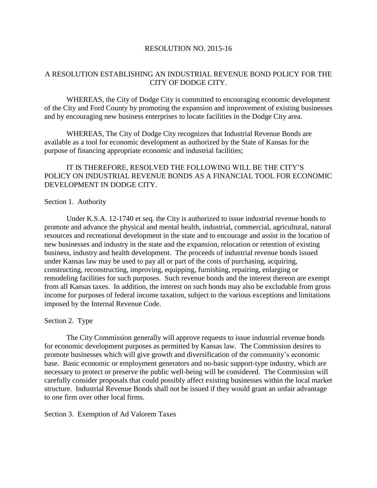#### RESOLUTION NO. 2015-16

#### A RESOLUTION ESTABLISHING AN INDUSTRIAL REVENUE BOND POLICY FOR THE CITY OF DODGE CITY.

WHEREAS, the City of Dodge City is committed to encouraging economic development of the City and Ford County by promoting the expansion and improvement of existing businesses and by encouraging new business enterprises to locate facilities in the Dodge City area.

WHEREAS, The City of Dodge City recognizes that Industrial Revenue Bonds are available as a tool for economic development as authorized by the State of Kansas for the purpose of financing appropriate economic and industrial facilities;

#### IT IS THEREFORE, RESOLVED THE FOLLOWING WILL BE THE CITY'S POLICY ON INDUSTRIAL REVENUE BONDS AS A FINANCIAL TOOL FOR ECONOMIC DEVELOPMENT IN DODGE CITY.

#### Section 1. Authority

Under K.S.A. 12-1740 et seq. the City is authorized to issue industrial revenue bonds to promote and advance the physical and mental health, industrial, commercial, agricultural, natural resources and recreational development in the state and to encourage and assist in the location of new businesses and industry in the state and the expansion, relocation or retention of existing business, industry and health development. The proceeds of industrial revenue bonds issued under Kansas law may be used to pay all or part of the costs of purchasing, acquiring, constructing, reconstructing, improving, equipping, furnishing, repairing, enlarging or remodeling facilities for such purposes. Such revenue bonds and the interest thereon are exempt from all Kansas taxes. In addition, the interest on such bonds may also be excludable from gross income for purposes of federal income taxation, subject to the various exceptions and limitations imposed by the Internal Revenue Code.

#### Section 2. Type

The City Commission generally will approve requests to issue industrial revenue bonds for economic development purposes as permitted by Kansas law. The Commission desires to promote businesses which will give growth and diversification of the community's economic base. Basic economic or employment generators and no-basic support-type industry, which are necessary to protect or preserve the public well-being will be considered. The Commission will carefully consider proposals that could possibly affect existing businesses within the local market structure. Industrial Revenue Bonds shall not be issued if they would grant an unfair advantage to one firm over other local firms.

#### Section 3. Exemption of Ad Valorem Taxes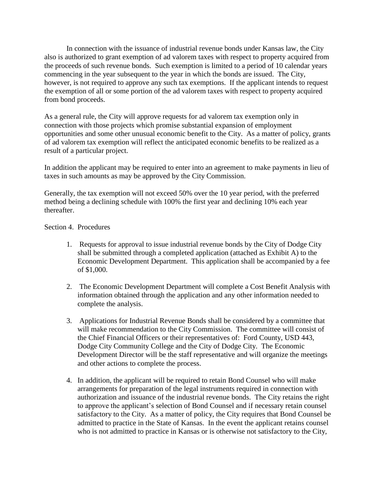In connection with the issuance of industrial revenue bonds under Kansas law, the City also is authorized to grant exemption of ad valorem taxes with respect to property acquired from the proceeds of such revenue bonds. Such exemption is limited to a period of 10 calendar years commencing in the year subsequent to the year in which the bonds are issued. The City, however, is not required to approve any such tax exemptions. If the applicant intends to request the exemption of all or some portion of the ad valorem taxes with respect to property acquired from bond proceeds.

As a general rule, the City will approve requests for ad valorem tax exemption only in connection with those projects which promise substantial expansion of employment opportunities and some other unusual economic benefit to the City. As a matter of policy, grants of ad valorem tax exemption will reflect the anticipated economic benefits to be realized as a result of a particular project.

In addition the applicant may be required to enter into an agreement to make payments in lieu of taxes in such amounts as may be approved by the City Commission.

Generally, the tax exemption will not exceed 50% over the 10 year period, with the preferred method being a declining schedule with 100% the first year and declining 10% each year thereafter.

#### Section 4. Procedures

- 1. Requests for approval to issue industrial revenue bonds by the City of Dodge City shall be submitted through a completed application (attached as Exhibit A) to the Economic Development Department. This application shall be accompanied by a fee of \$1,000.
- 2. The Economic Development Department will complete a Cost Benefit Analysis with information obtained through the application and any other information needed to complete the analysis.
- 3. Applications for Industrial Revenue Bonds shall be considered by a committee that will make recommendation to the City Commission. The committee will consist of the Chief Financial Officers or their representatives of: Ford County, USD 443, Dodge City Community College and the City of Dodge City. The Economic Development Director will be the staff representative and will organize the meetings and other actions to complete the process.
- 4. In addition, the applicant will be required to retain Bond Counsel who will make arrangements for preparation of the legal instruments required in connection with authorization and issuance of the industrial revenue bonds. The City retains the right to approve the applicant's selection of Bond Counsel and if necessary retain counsel satisfactory to the City. As a matter of policy, the City requires that Bond Counsel be admitted to practice in the State of Kansas. In the event the applicant retains counsel who is not admitted to practice in Kansas or is otherwise not satisfactory to the City,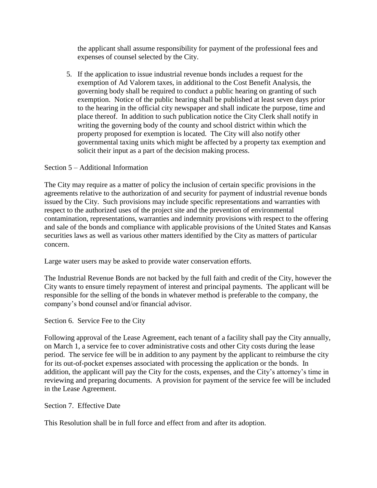the applicant shall assume responsibility for payment of the professional fees and expenses of counsel selected by the City.

5. If the application to issue industrial revenue bonds includes a request for the exemption of Ad Valorem taxes, in additional to the Cost Benefit Analysis, the governing body shall be required to conduct a public hearing on granting of such exemption. Notice of the public hearing shall be published at least seven days prior to the hearing in the official city newspaper and shall indicate the purpose, time and place thereof. In addition to such publication notice the City Clerk shall notify in writing the governing body of the county and school district within which the property proposed for exemption is located. The City will also notify other governmental taxing units which might be affected by a property tax exemption and solicit their input as a part of the decision making process.

#### Section 5 – Additional Information

The City may require as a matter of policy the inclusion of certain specific provisions in the agreements relative to the authorization of and security for payment of industrial revenue bonds issued by the City. Such provisions may include specific representations and warranties with respect to the authorized uses of the project site and the prevention of environmental contamination, representations, warranties and indemnity provisions with respect to the offering and sale of the bonds and compliance with applicable provisions of the United States and Kansas securities laws as well as various other matters identified by the City as matters of particular concern.

Large water users may be asked to provide water conservation efforts.

The Industrial Revenue Bonds are not backed by the full faith and credit of the City, however the City wants to ensure timely repayment of interest and principal payments. The applicant will be responsible for the selling of the bonds in whatever method is preferable to the company, the company's bond counsel and/or financial advisor.

Section 6. Service Fee to the City

Following approval of the Lease Agreement, each tenant of a facility shall pay the City annually, on March 1, a service fee to cover administrative costs and other City costs during the lease period. The service fee will be in addition to any payment by the applicant to reimburse the city for its out-of-pocket expenses associated with processing the application or the bonds. In addition, the applicant will pay the City for the costs, expenses, and the City's attorney's time in reviewing and preparing documents. A provision for payment of the service fee will be included in the Lease Agreement.

Section 7. Effective Date

This Resolution shall be in full force and effect from and after its adoption.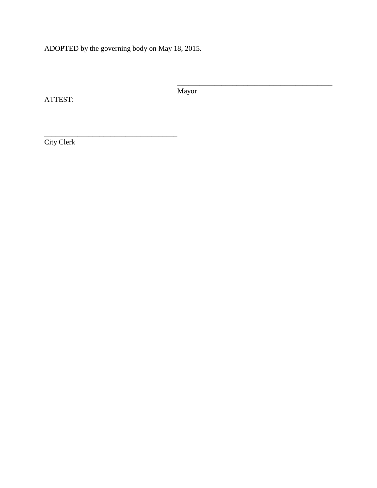ADOPTED by the governing body on May 18, 2015.

\_\_\_\_\_\_\_\_\_\_\_\_\_\_\_\_\_\_\_\_\_\_\_\_\_\_\_\_\_\_\_\_\_\_\_\_

ATTEST:

Mayor

\_\_\_\_\_\_\_\_\_\_\_\_\_\_\_\_\_\_\_\_\_\_\_\_\_\_\_\_\_\_\_\_\_\_\_\_\_\_\_\_\_\_

City Clerk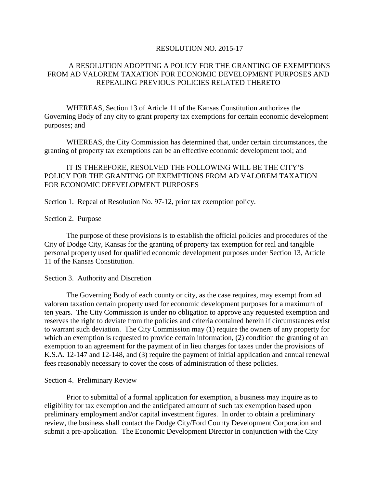#### RESOLUTION NO. 2015-17

#### A RESOLUTION ADOPTING A POLICY FOR THE GRANTING OF EXEMPTIONS FROM AD VALOREM TAXATION FOR ECONOMIC DEVELOPMENT PURPOSES AND REPEALING PREVIOUS POLICIES RELATED THERETO

WHEREAS, Section 13 of Article 11 of the Kansas Constitution authorizes the Governing Body of any city to grant property tax exemptions for certain economic development purposes; and

WHEREAS, the City Commission has determined that, under certain circumstances, the granting of property tax exemptions can be an effective economic development tool; and

#### IT IS THEREFORE, RESOLVED THE FOLLOWING WILL BE THE CITY'S POLICY FOR THE GRANTING OF EXEMPTIONS FROM AD VALOREM TAXATION FOR ECONOMIC DEFVELOPMENT PURPOSES

Section 1. Repeal of Resolution No. 97-12, prior tax exemption policy.

#### Section 2. Purpose

The purpose of these provisions is to establish the official policies and procedures of the City of Dodge City, Kansas for the granting of property tax exemption for real and tangible personal property used for qualified economic development purposes under Section 13, Article 11 of the Kansas Constitution.

#### Section 3. Authority and Discretion

The Governing Body of each county or city, as the case requires, may exempt from ad valorem taxation certain property used for economic development purposes for a maximum of ten years. The City Commission is under no obligation to approve any requested exemption and reserves the right to deviate from the policies and criteria contained herein if circumstances exist to warrant such deviation. The City Commission may (1) require the owners of any property for which an exemption is requested to provide certain information, (2) condition the granting of an exemption to an agreement for the payment of in lieu charges for taxes under the provisions of K.S.A. 12-147 and 12-148, and (3) require the payment of initial application and annual renewal fees reasonably necessary to cover the costs of administration of these policies.

#### Section 4. Preliminary Review

Prior to submittal of a formal application for exemption, a business may inquire as to eligibility for tax exemption and the anticipated amount of such tax exemption based upon preliminary employment and/or capital investment figures. In order to obtain a preliminary review, the business shall contact the Dodge City/Ford County Development Corporation and submit a pre-application. The Economic Development Director in conjunction with the City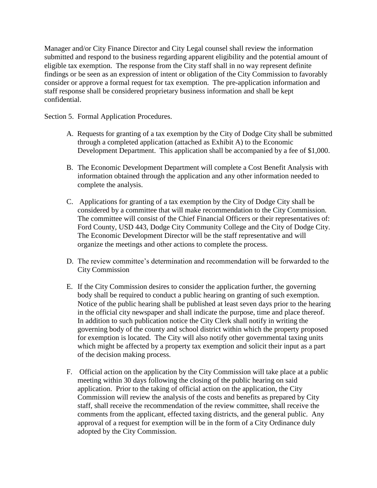Manager and/or City Finance Director and City Legal counsel shall review the information submitted and respond to the business regarding apparent eligibility and the potential amount of eligible tax exemption. The response from the City staff shall in no way represent definite findings or be seen as an expression of intent or obligation of the City Commission to favorably consider or approve a formal request for tax exemption. The pre-application information and staff response shall be considered proprietary business information and shall be kept confidential.

Section 5. Formal Application Procedures.

- A. Requests for granting of a tax exemption by the City of Dodge City shall be submitted through a completed application (attached as Exhibit A) to the Economic Development Department. This application shall be accompanied by a fee of \$1,000.
- B. The Economic Development Department will complete a Cost Benefit Analysis with information obtained through the application and any other information needed to complete the analysis.
- C. Applications for granting of a tax exemption by the City of Dodge City shall be considered by a committee that will make recommendation to the City Commission. The committee will consist of the Chief Financial Officers or their representatives of: Ford County, USD 443, Dodge City Community College and the City of Dodge City. The Economic Development Director will be the staff representative and will organize the meetings and other actions to complete the process.
- D. The review committee's determination and recommendation will be forwarded to the City Commission
- E. If the City Commission desires to consider the application further, the governing body shall be required to conduct a public hearing on granting of such exemption. Notice of the public hearing shall be published at least seven days prior to the hearing in the official city newspaper and shall indicate the purpose, time and place thereof. In addition to such publication notice the City Clerk shall notify in writing the governing body of the county and school district within which the property proposed for exemption is located. The City will also notify other governmental taxing units which might be affected by a property tax exemption and solicit their input as a part of the decision making process.
- F. Official action on the application by the City Commission will take place at a public meeting within 30 days following the closing of the public hearing on said application. Prior to the taking of official action on the application, the City Commission will review the analysis of the costs and benefits as prepared by City staff, shall receive the recommendation of the review committee, shall receive the comments from the applicant, effected taxing districts, and the general public. Any approval of a request for exemption will be in the form of a City Ordinance duly adopted by the City Commission.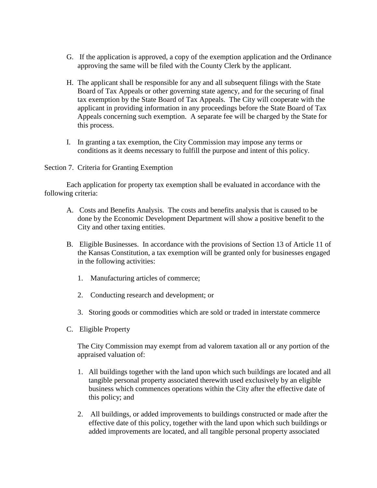- G. If the application is approved, a copy of the exemption application and the Ordinance approving the same will be filed with the County Clerk by the applicant.
- H. The applicant shall be responsible for any and all subsequent filings with the State Board of Tax Appeals or other governing state agency, and for the securing of final tax exemption by the State Board of Tax Appeals. The City will cooperate with the applicant in providing information in any proceedings before the State Board of Tax Appeals concerning such exemption. A separate fee will be charged by the State for this process.
- I. In granting a tax exemption, the City Commission may impose any terms or conditions as it deems necessary to fulfill the purpose and intent of this policy.

#### Section 7. Criteria for Granting Exemption

Each application for property tax exemption shall be evaluated in accordance with the following criteria:

- A. Costs and Benefits Analysis. The costs and benefits analysis that is caused to be done by the Economic Development Department will show a positive benefit to the City and other taxing entities.
- B. Eligible Businesses. In accordance with the provisions of Section 13 of Article 11 of the Kansas Constitution, a tax exemption will be granted only for businesses engaged in the following activities:
	- 1. Manufacturing articles of commerce;
	- 2. Conducting research and development; or
	- 3. Storing goods or commodities which are sold or traded in interstate commerce
- C. Eligible Property

The City Commission may exempt from ad valorem taxation all or any portion of the appraised valuation of:

- 1. All buildings together with the land upon which such buildings are located and all tangible personal property associated therewith used exclusively by an eligible business which commences operations within the City after the effective date of this policy; and
- 2. All buildings, or added improvements to buildings constructed or made after the effective date of this policy, together with the land upon which such buildings or added improvements are located, and all tangible personal property associated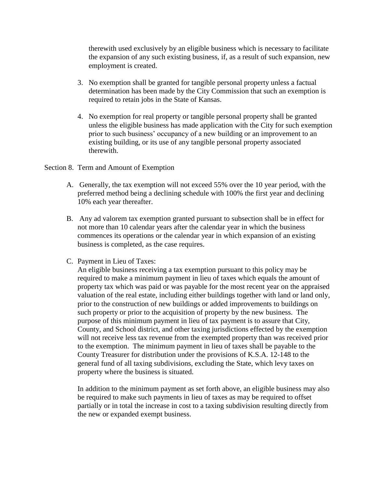therewith used exclusively by an eligible business which is necessary to facilitate the expansion of any such existing business, if, as a result of such expansion, new employment is created.

- 3. No exemption shall be granted for tangible personal property unless a factual determination has been made by the City Commission that such an exemption is required to retain jobs in the State of Kansas.
- 4. No exemption for real property or tangible personal property shall be granted unless the eligible business has made application with the City for such exemption prior to such business' occupancy of a new building or an improvement to an existing building, or its use of any tangible personal property associated therewith.

#### Section 8. Term and Amount of Exemption

- A. Generally, the tax exemption will not exceed 55% over the 10 year period, with the preferred method being a declining schedule with 100% the first year and declining 10% each year thereafter.
- B. Any ad valorem tax exemption granted pursuant to subsection shall be in effect for not more than 10 calendar years after the calendar year in which the business commences its operations or the calendar year in which expansion of an existing business is completed, as the case requires.
- C. Payment in Lieu of Taxes:

An eligible business receiving a tax exemption pursuant to this policy may be required to make a minimum payment in lieu of taxes which equals the amount of property tax which was paid or was payable for the most recent year on the appraised valuation of the real estate, including either buildings together with land or land only, prior to the construction of new buildings or added improvements to buildings on such property or prior to the acquisition of property by the new business. The purpose of this minimum payment in lieu of tax payment is to assure that City, County, and School district, and other taxing jurisdictions effected by the exemption will not receive less tax revenue from the exempted property than was received prior to the exemption. The minimum payment in lieu of taxes shall be payable to the County Treasurer for distribution under the provisions of K.S.A. 12-148 to the general fund of all taxing subdivisions, excluding the State, which levy taxes on property where the business is situated.

In addition to the minimum payment as set forth above, an eligible business may also be required to make such payments in lieu of taxes as may be required to offset partially or in total the increase in cost to a taxing subdivision resulting directly from the new or expanded exempt business.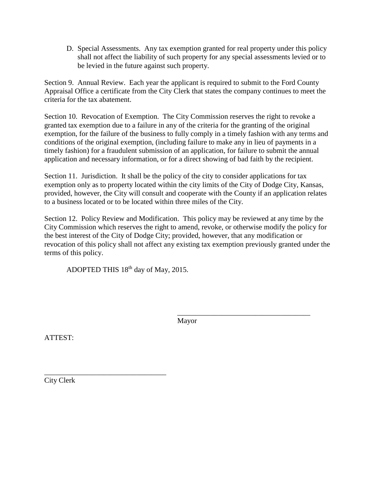D. Special Assessments. Any tax exemption granted for real property under this policy shall not affect the liability of such property for any special assessments levied or to be levied in the future against such property.

Section 9. Annual Review. Each year the applicant is required to submit to the Ford County Appraisal Office a certificate from the City Clerk that states the company continues to meet the criteria for the tax abatement.

Section 10. Revocation of Exemption. The City Commission reserves the right to revoke a granted tax exemption due to a failure in any of the criteria for the granting of the original exemption, for the failure of the business to fully comply in a timely fashion with any terms and conditions of the original exemption, (including failure to make any in lieu of payments in a timely fashion) for a fraudulent submission of an application, for failure to submit the annual application and necessary information, or for a direct showing of bad faith by the recipient.

Section 11. Jurisdiction. It shall be the policy of the city to consider applications for tax exemption only as to property located within the city limits of the City of Dodge City, Kansas, provided, however, the City will consult and cooperate with the County if an application relates to a business located or to be located within three miles of the City.

Section 12. Policy Review and Modification. This policy may be reviewed at any time by the City Commission which reserves the right to amend, revoke, or otherwise modify the policy for the best interest of the City of Dodge City; provided, however, that any modification or revocation of this policy shall not affect any existing tax exemption previously granted under the terms of this policy.

ADOPTED THIS 18<sup>th</sup> day of May, 2015.

\_\_\_\_\_\_\_\_\_\_\_\_\_\_\_\_\_\_\_\_\_\_\_\_\_\_\_\_\_\_\_\_\_

Mayor

\_\_\_\_\_\_\_\_\_\_\_\_\_\_\_\_\_\_\_\_\_\_\_\_\_\_\_\_\_\_\_\_\_\_\_\_

ATTEST:

City Clerk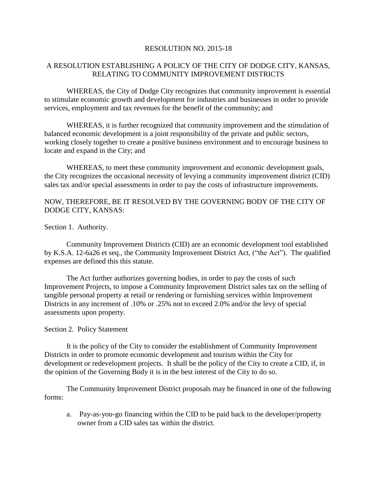#### RESOLUTION NO. 2015-18

#### A RESOLUTION ESTABLISHING A POLICY OF THE CITY OF DODGE CITY, KANSAS, RELATING TO COMMUNITY IMPROVEMENT DISTRICTS

WHEREAS, the City of Dodge City recognizes that community improvement is essential to stimulate economic growth and development for industries and businesses in order to provide services, employment and tax revenues for the benefit of the community; and

WHEREAS, it is further recognized that community improvement and the stimulation of balanced economic development is a joint responsibility of the private and public sectors, working closely together to create a positive business environment and to encourage business to locate and expand in the City; and

WHEREAS, to meet these community improvement and economic development goals, the City recognizes the occasional necessity of levying a community improvement district (CID) sales tax and/or special assessments in order to pay the costs of infrastructure improvements.

#### NOW, THEREFORE, BE IT RESOLVED BY THE GOVERNING BODY OF THE CITY OF DODGE CITY, KANSAS:

Section 1. Authority.

Community Improvement Districts (CID) are an economic development tool established by K.S.A. 12-6a26 et seq., the Community Improvement District Act, ("the Act"). The qualified expenses are defined this this statute.

The Act further authorizes governing bodies, in order to pay the costs of such Improvement Projects, to impose a Community Improvement District sales tax on the selling of tangible personal property at retail or rendering or furnishing services within Improvement Districts in any increment of .10% or .25% not to exceed 2.0% and/or the levy of special assessments upon property.

#### Section 2. Policy Statement

It is the policy of the City to consider the establishment of Community Improvement Districts in order to promote economic development and tourism within the City for development or redevelopment projects. It shall be the policy of the City to create a CID, if, in the opinion of the Governing Body it is in the best interest of the City to do so.

The Community Improvement District proposals may be financed in one of the following forms:

a. Pay-as-you-go financing within the CID to be paid back to the developer/property owner from a CID sales tax within the district.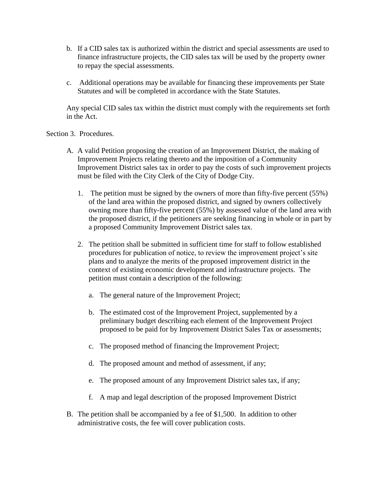- b. If a CID sales tax is authorized within the district and special assessments are used to finance infrastructure projects, the CID sales tax will be used by the property owner to repay the special assessments.
- c. Additional operations may be available for financing these improvements per State Statutes and will be completed in accordance with the State Statutes.

Any special CID sales tax within the district must comply with the requirements set forth in the Act.

Section 3. Procedures.

- A. A valid Petition proposing the creation of an Improvement District, the making of Improvement Projects relating thereto and the imposition of a Community Improvement District sales tax in order to pay the costs of such improvement projects must be filed with the City Clerk of the City of Dodge City.
	- 1. The petition must be signed by the owners of more than fifty-five percent (55%) of the land area within the proposed district, and signed by owners collectively owning more than fifty-five percent (55%) by assessed value of the land area with the proposed district, if the petitioners are seeking financing in whole or in part by a proposed Community Improvement District sales tax.
	- 2. The petition shall be submitted in sufficient time for staff to follow established procedures for publication of notice, to review the improvement project's site plans and to analyze the merits of the proposed improvement district in the context of existing economic development and infrastructure projects. The petition must contain a description of the following:
		- a. The general nature of the Improvement Project;
		- b. The estimated cost of the Improvement Project, supplemented by a preliminary budget describing each element of the Improvement Project proposed to be paid for by Improvement District Sales Tax or assessments;
		- c. The proposed method of financing the Improvement Project;
		- d. The proposed amount and method of assessment, if any;
		- e. The proposed amount of any Improvement District sales tax, if any;
		- f. A map and legal description of the proposed Improvement District
- B. The petition shall be accompanied by a fee of \$1,500. In addition to other administrative costs, the fee will cover publication costs.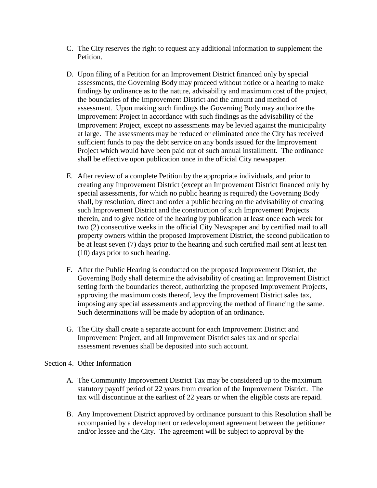- C. The City reserves the right to request any additional information to supplement the Petition.
- D. Upon filing of a Petition for an Improvement District financed only by special assessments, the Governing Body may proceed without notice or a hearing to make findings by ordinance as to the nature, advisability and maximum cost of the project, the boundaries of the Improvement District and the amount and method of assessment. Upon making such findings the Governing Body may authorize the Improvement Project in accordance with such findings as the advisability of the Improvement Project, except no assessments may be levied against the municipality at large. The assessments may be reduced or eliminated once the City has received sufficient funds to pay the debt service on any bonds issued for the Improvement Project which would have been paid out of such annual installment. The ordinance shall be effective upon publication once in the official City newspaper.
- E. After review of a complete Petition by the appropriate individuals, and prior to creating any Improvement District (except an Improvement District financed only by special assessments, for which no public hearing is required) the Governing Body shall, by resolution, direct and order a public hearing on the advisability of creating such Improvement District and the construction of such Improvement Projects therein, and to give notice of the hearing by publication at least once each week for two (2) consecutive weeks in the official City Newspaper and by certified mail to all property owners within the proposed Improvement District, the second publication to be at least seven (7) days prior to the hearing and such certified mail sent at least ten (10) days prior to such hearing.
- F. After the Public Hearing is conducted on the proposed Improvement District, the Governing Body shall determine the advisability of creating an Improvement District setting forth the boundaries thereof, authorizing the proposed Improvement Projects, approving the maximum costs thereof, levy the Improvement District sales tax, imposing any special assessments and approving the method of financing the same. Such determinations will be made by adoption of an ordinance.
- G. The City shall create a separate account for each Improvement District and Improvement Project, and all Improvement District sales tax and or special assessment revenues shall be deposited into such account.

Section 4. Other Information

- A. The Community Improvement District Tax may be considered up to the maximum statutory payoff period of 22 years from creation of the Improvement District. The tax will discontinue at the earliest of 22 years or when the eligible costs are repaid.
- B. Any Improvement District approved by ordinance pursuant to this Resolution shall be accompanied by a development or redevelopment agreement between the petitioner and/or lessee and the City. The agreement will be subject to approval by the